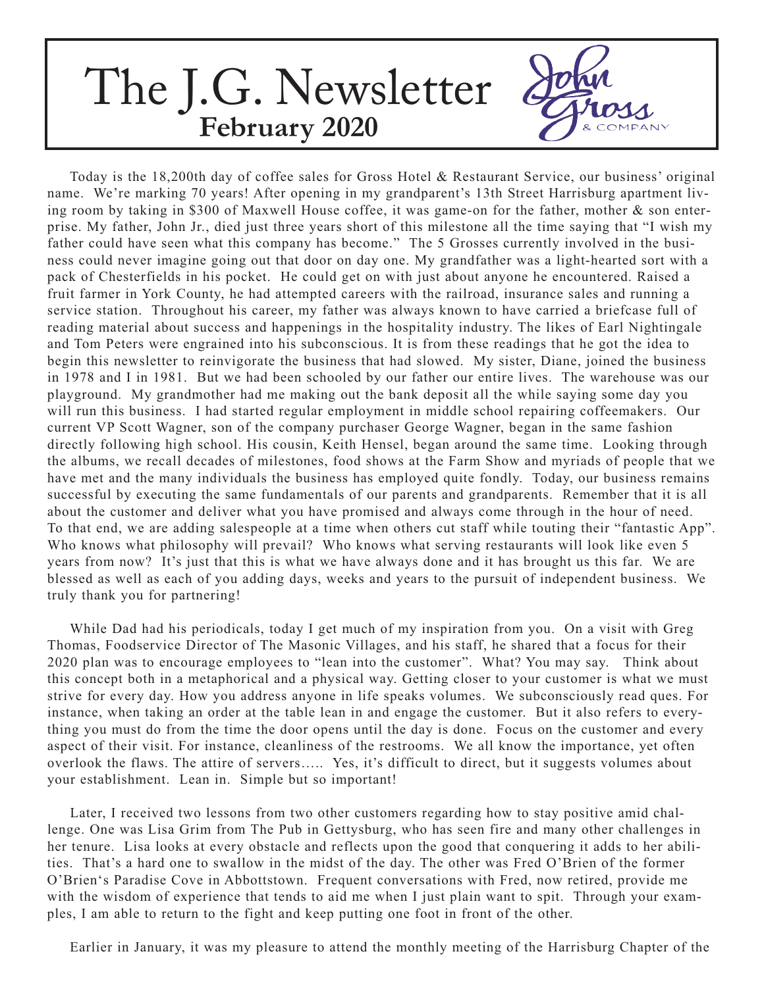## The J.G. Newsletter **February 2020**

Today is the 18,200th day of coffee sales for Gross Hotel & Restaurant Service, our business' original name. We're marking 70 years! After opening in my grandparent's 13th Street Harrisburg apartment living room by taking in \$300 of Maxwell House coffee, it was game-on for the father, mother & son enterprise. My father, John Jr., died just three years short of this milestone all the time saying that "I wish my father could have seen what this company has become." The 5 Grosses currently involved in the business could never imagine going out that door on day one. My grandfather was a light-hearted sort with a pack of Chesterfields in his pocket. He could get on with just about anyone he encountered. Raised a fruit farmer in York County, he had attempted careers with the railroad, insurance sales and running a service station. Throughout his career, my father was always known to have carried a briefcase full of reading material about success and happenings in the hospitality industry. The likes of Earl Nightingale and Tom Peters were engrained into his subconscious. It is from these readings that he got the idea to begin this newsletter to reinvigorate the business that had slowed. My sister, Diane, joined the business in 1978 and I in 1981. But we had been schooled by our father our entire lives. The warehouse was our playground. My grandmother had me making out the bank deposit all the while saying some day you will run this business. I had started regular employment in middle school repairing coffeemakers. Our current VP Scott Wagner, son of the company purchaser George Wagner, began in the same fashion directly following high school. His cousin, Keith Hensel, began around the same time. Looking through the albums, we recall decades of milestones, food shows at the Farm Show and myriads of people that we have met and the many individuals the business has employed quite fondly. Today, our business remains successful by executing the same fundamentals of our parents and grandparents. Remember that it is all about the customer and deliver what you have promised and always come through in the hour of need. To that end, we are adding salespeople at a time when others cut staff while touting their "fantastic App". Who knows what philosophy will prevail? Who knows what serving restaurants will look like even 5 years from now? It's just that this is what we have always done and it has brought us this far. We are blessed as well as each of you adding days, weeks and years to the pursuit of independent business. We truly thank you for partnering!

While Dad had his periodicals, today I get much of my inspiration from you. On a visit with Greg Thomas, Foodservice Director of The Masonic Villages, and his staff, he shared that a focus for their 2020 plan was to encourage employees to "lean into the customer". What? You may say. Think about this concept both in a metaphorical and a physical way. Getting closer to your customer is what we must strive for every day. How you address anyone in life speaks volumes. We subconsciously read ques. For instance, when taking an order at the table lean in and engage the customer. But it also refers to everything you must do from the time the door opens until the day is done. Focus on the customer and every aspect of their visit. For instance, cleanliness of the restrooms. We all know the importance, yet often overlook the flaws. The attire of servers….. Yes, it's difficult to direct, but it suggests volumes about your establishment. Lean in. Simple but so important!

Later, I received two lessons from two other customers regarding how to stay positive amid challenge. One was Lisa Grim from The Pub in Gettysburg, who has seen fire and many other challenges in her tenure. Lisa looks at every obstacle and reflects upon the good that conquering it adds to her abilities. That's a hard one to swallow in the midst of the day. The other was Fred O'Brien of the former O'Brien's Paradise Cove in Abbottstown. Frequent conversations with Fred, now retired, provide me with the wisdom of experience that tends to aid me when I just plain want to spit. Through your examples, I am able to return to the fight and keep putting one foot in front of the other.

Earlier in January, it was my pleasure to attend the monthly meeting of the Harrisburg Chapter of the